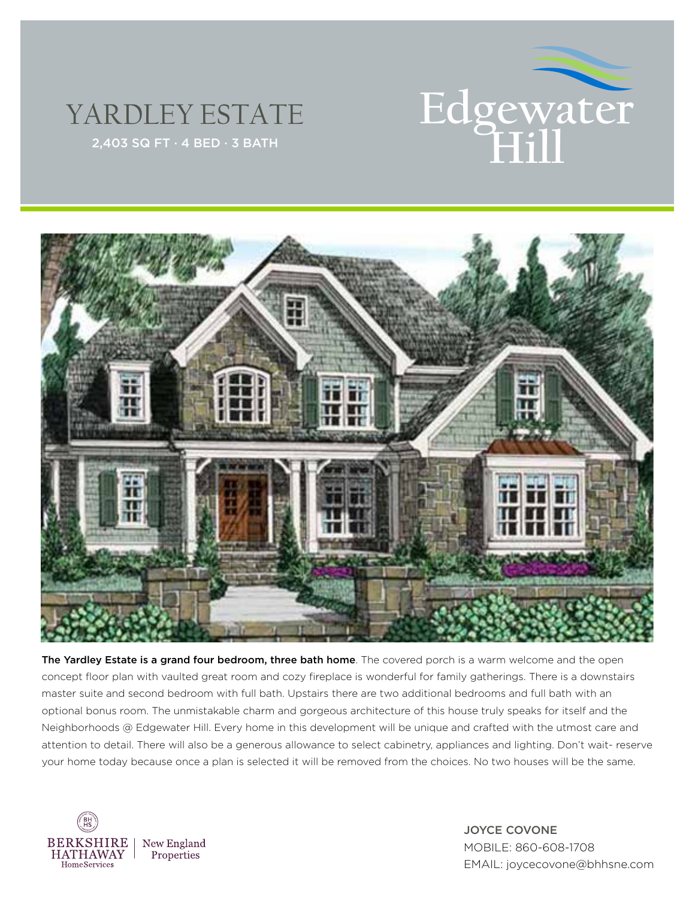

## YARDLEY ESTATE



The Yardley Estate is a grand four bedroom, three bath home. The covered porch is a warm welcome and the open concept floor plan with vaulted great room and cozy fireplace is wonderful for family gatherings. There is a downstairs master suite and second bedroom with full bath. Upstairs there are two additional bedrooms and full bath with an optional bonus room. The unmistakable charm and gorgeous architecture of this house truly speaks for itself and the Neighborhoods @ Edgewater Hill. Every home in this development will be unique and crafted with the utmost care and attention to detail. There will also be a generous allowance to select cabinetry, appliances and lighting. Don't wait- reserve your home today because once a plan is selected it will be removed from the choices. No two houses will be the same.



JOYCE COVONE MOBILE: 860-608-1708 EMAIL: joycecovone@bhhsne.com